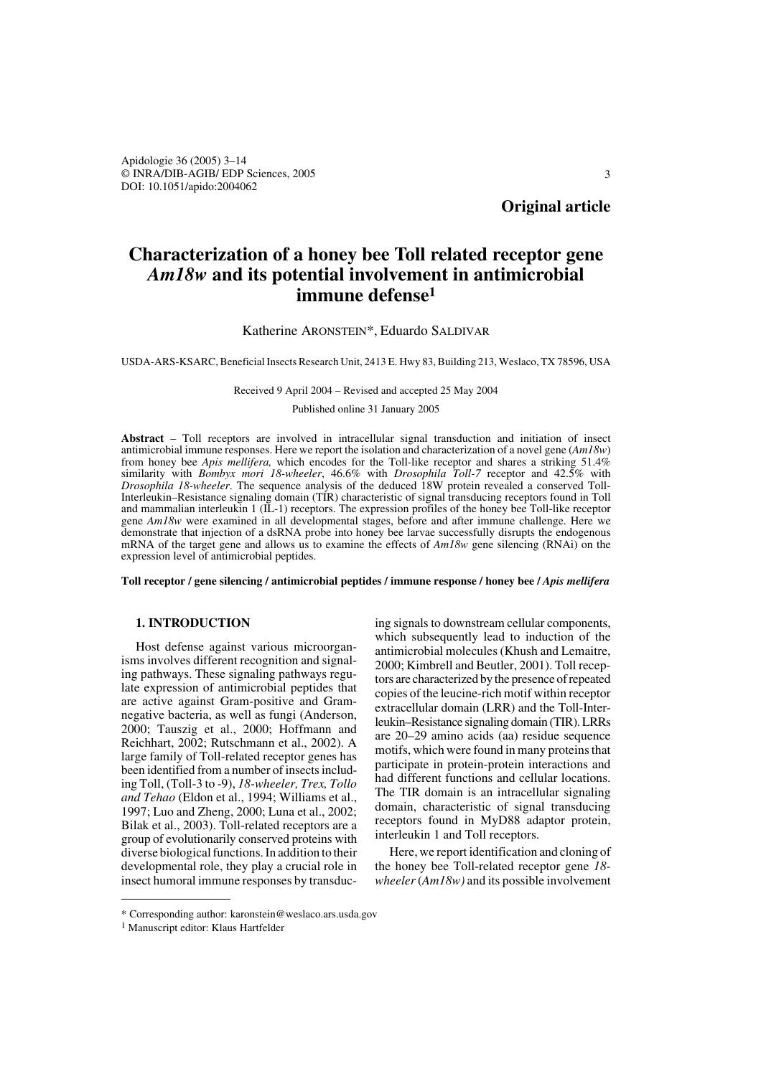Apidologie 36 (2005) 3–14 © INRA/DIB-AGIB/ EDP Sciences, 2005 DOI: 10.1051/apido:2004062

**Original article**

# **Characterization of a honey bee Toll related receptor gene**  *Am18w* **and its potential involvement in antimicrobial immune defense1**

## Katherine ARONSTEIN\*, Eduardo SALDIVAR

USDA-ARS-KSARC, Beneficial Insects Research Unit, 2413 E. Hwy 83, Building 213, Weslaco, TX 78596, USA

#### Received 9 April 2004 – Revised and accepted 25 May 2004

Published online 31 January 2005

**Abstract** – Toll receptors are involved in intracellular signal transduction and initiation of insect antimicrobial immune responses. Here we report the isolation and characterization of a novel gene (*Am18w*) from honey bee *Apis mellifera,* which encodes for the Toll-like receptor and shares a striking 51.4% similarity with *Bombyx mori 18-wheeler*, 46.6% with *Drosophila Toll-7* receptor and 42.5% with *Drosophila 18-wheeler*. The sequence analysis of the deduced 18W protein revealed a conserved Toll-Interleukin–Resistance signaling domain (TIR) characteristic of signal transducing receptors found in Toll and mammalian interleukin 1 (IL-1) receptors. The expression profiles of the honey bee Toll-like receptor gene *Am18w* were examined in all developmental stages, before and after immune challenge. Here we demonstrate that injection of a dsRNA probe into honey bee larvae successfully disrupts the endogenous mRNA of the target gene and allows us to examine the effects of *Am18w* gene silencing (RNAi) on the expression level of antimicrobial peptides.

**Toll receptor / gene silencing / antimicrobial peptides / immune response / honey bee /** *Apis mellifera*

# **1. INTRODUCTION**

Host defense against various microorganisms involves different recognition and signaling pathways. These signaling pathways regulate expression of antimicrobial peptides that are active against Gram-positive and Gramnegative bacteria, as well as fungi (Anderson, 2000; Tauszig et al., 2000; Hoffmann and Reichhart, 2002; Rutschmann et al., 2002). A large family of Toll-related receptor genes has been identified from a number of insects including Toll, (Toll-3 to -9), *18-wheeler, Trex, Tollo and Tehao* (Eldon et al., 1994; Williams et al., 1997; Luo and Zheng, 2000; Luna et al., 2002; Bilak et al., 2003). Toll-related receptors are a group of evolutionarily conserved proteins with diverse biological functions. In addition to their developmental role, they play a crucial role in insect humoral immune responses by transduc-

ing signals to downstream cellular components, which subsequently lead to induction of the antimicrobial molecules (Khush and Lemaitre, 2000; Kimbrell and Beutler, 2001). Toll receptors are characterized by the presence of repeated copies of the leucine-rich motif within receptor extracellular domain (LRR) and the Toll-Interleukin–Resistance signaling domain (TIR). LRRs are 20–29 amino acids (aa) residue sequence motifs, which were found in many proteins that participate in protein-protein interactions and had different functions and cellular locations. The TIR domain is an intracellular signaling domain, characteristic of signal transducing receptors found in MyD88 adaptor protein, interleukin 1 and Toll receptors.

Here, we report identification and cloning of the honey bee Toll-related receptor gene *18 wheeler* (*Am18w)* and its possible involvement

<sup>\*</sup> Corresponding author: karonstein@weslaco.ars.usda.gov

<sup>1</sup> Manuscript editor: Klaus Hartfelder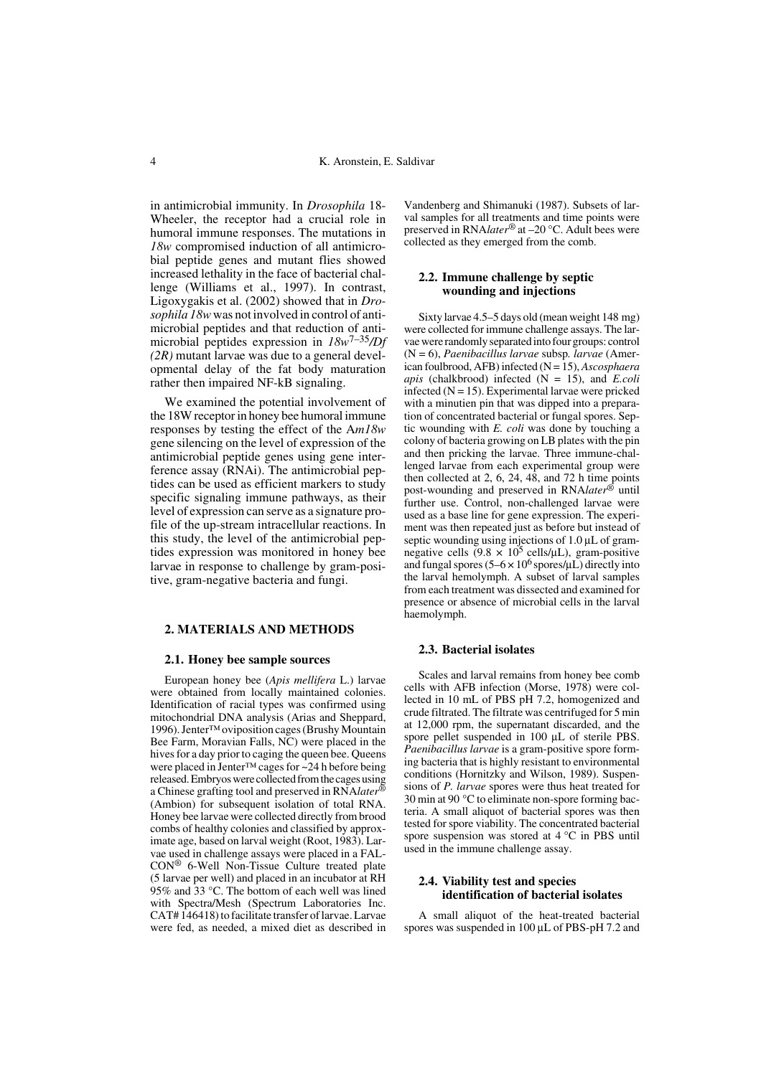in antimicrobial immunity. In *Drosophila* 18- Wheeler, the receptor had a crucial role in humoral immune responses. The mutations in *18w* compromised induction of all antimicrobial peptide genes and mutant flies showed increased lethality in the face of bacterial challenge (Williams et al., 1997). In contrast, Ligoxygakis et al. (2002) showed that in *Drosophila 18w* was not involved in control of antimicrobial peptides and that reduction of antimicrobial peptides expression in *18w*7–35*/Df (2R)* mutant larvae was due to a general developmental delay of the fat body maturation rather then impaired NF-kB signaling.

We examined the potential involvement of the 18W receptor in honey bee humoral immune responses by testing the effect of the A*m18w* gene silencing on the level of expression of the antimicrobial peptide genes using gene interference assay (RNAi). The antimicrobial peptides can be used as efficient markers to study specific signaling immune pathways, as their level of expression can serve as a signature profile of the up-stream intracellular reactions. In this study, the level of the antimicrobial peptides expression was monitored in honey bee larvae in response to challenge by gram-positive, gram-negative bacteria and fungi.

# **2. MATERIALS AND METHODS**

#### **2.1. Honey bee sample sources**

European honey bee (*Apis mellifera* L.) larvae were obtained from locally maintained colonies. Identification of racial types was confirmed using mitochondrial DNA analysis (Arias and Sheppard, 1996). Jenter™ oviposition cages (Brushy Mountain Bee Farm, Moravian Falls, NC) were placed in the hives for a day prior to caging the queen bee. Queens were placed in Jenter™ cages for ~24 h before being released. Embryos were collected from the cages using a Chinese grafting tool and preserved in RNA*later*® (Ambion) for subsequent isolation of total RNA. Honey bee larvae were collected directly from brood combs of healthy colonies and classified by approximate age, based on larval weight (Root, 1983). Larvae used in challenge assays were placed in a FAL-CON® 6-Well Non-Tissue Culture treated plate (5 larvae per well) and placed in an incubator at RH 95% and 33 °C. The bottom of each well was lined with Spectra/Mesh (Spectrum Laboratories Inc. CAT# 146418) to facilitate transfer of larvae. Larvae were fed, as needed, a mixed diet as described in

Vandenberg and Shimanuki (1987). Subsets of larval samples for all treatments and time points were preserved in RNA*later*® at –20 °C. Adult bees were collected as they emerged from the comb.

### **2.2. Immune challenge by septic wounding and injections**

Sixty larvae 4.5–5 days old (mean weight 148 mg) were collected for immune challenge assays. The larvae were randomly separated into four groups: control (N = 6), *Paenibacillus larvae* subsp*. larvae* (American foulbrood, AFB) infected (N = 15), *Ascosphaera apis* (chalkbrood) infected (N = 15), and *E.coli* infected  $(N = 15)$ . Experimental larvae were pricked with a minutien pin that was dipped into a preparation of concentrated bacterial or fungal spores. Septic wounding with *E. coli* was done by touching a colony of bacteria growing on LB plates with the pin and then pricking the larvae. Three immune-challenged larvae from each experimental group were then collected at 2, 6, 24, 48, and 72 h time points post-wounding and preserved in RNA*later*® until further use. Control, non-challenged larvae were used as a base line for gene expression. The experiment was then repeated just as before but instead of septic wounding using injections of  $1.0 \mu L$  of gramnegative cells  $(9.8 \times 10^5 \text{ cells/}\mu\text{L})$ , gram-positive and fungal spores  $(5-6 \times 10^6 \text{ spores/}\mu\text{L})$  directly into the larval hemolymph. A subset of larval samples from each treatment was dissected and examined for presence or absence of microbial cells in the larval haemolymph.

#### **2.3. Bacterial isolates**

Scales and larval remains from honey bee comb cells with AFB infection (Morse, 1978) were collected in 10 mL of PBS pH 7.2, homogenized and crude filtrated. The filtrate was centrifuged for 5 min at 12,000 rpm, the supernatant discarded, and the spore pellet suspended in 100  $\mu$ L of sterile PBS. *Paenibacillus larvae* is a gram-positive spore forming bacteria that is highly resistant to environmental conditions (Hornitzky and Wilson, 1989). Suspensions of *P. larvae* spores were thus heat treated for 30 min at 90 °C to eliminate non-spore forming bacteria. A small aliquot of bacterial spores was then tested for spore viability. The concentrated bacterial spore suspension was stored at 4 °C in PBS until used in the immune challenge assay.

## **2.4. Viability test and species identification of bacterial isolates**

A small aliquot of the heat-treated bacterial spores was suspended in 100  $\mu$ L of PBS-pH 7.2 and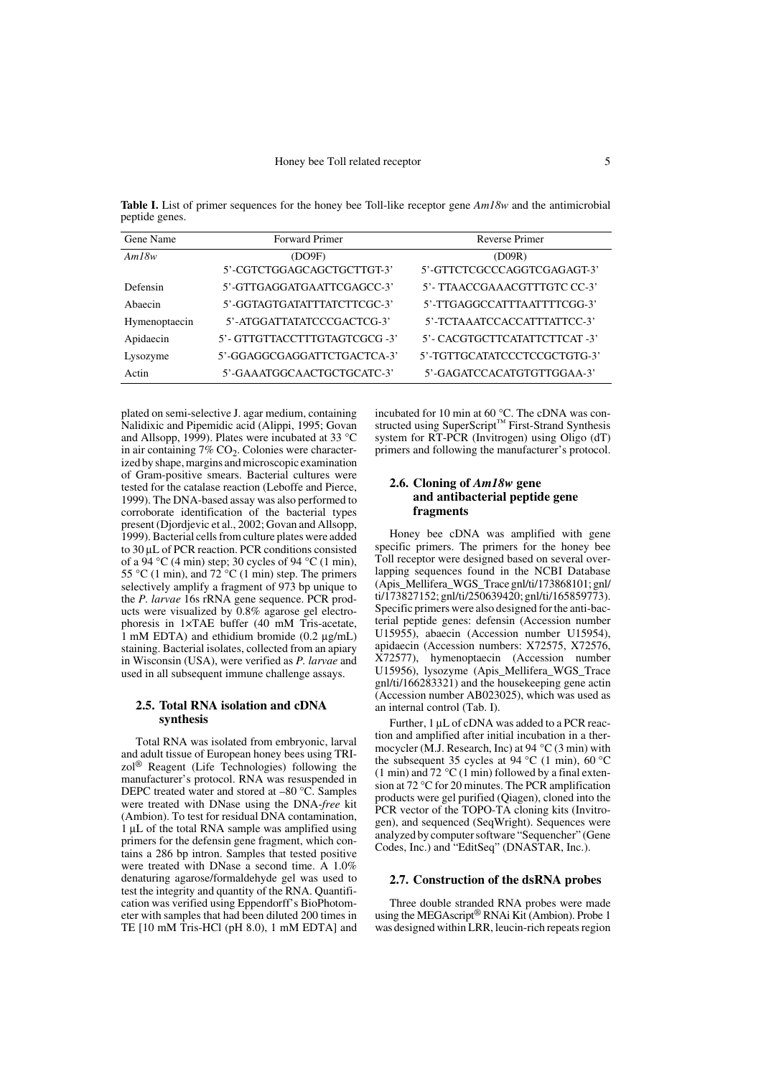**Table I.** List of primer sequences for the honey bee Toll-like receptor gene *Am18w* and the antimicrobial peptide genes.

| Gene Name     | Forward Primer                       | Reverse Primer                        |
|---------------|--------------------------------------|---------------------------------------|
| Am18w         | (DO9F)<br>5'-CGTCTGGAGCAGCTGCTTGT-3' | (D09R)<br>5'-GTTCTCGCCCAGGTCGAGAGT-3' |
| Defensin      | 5'-GTTGAGGATGAATTCGAGCC-3'           | 5'- TTAACCGAAACGTTTGTC CC-3'          |
| Abaecin       | 5'-GGTAGTGATATTTATCTTCGC-3'          | 5'-TTGAGGCCATTTAATTTTCGG-3'           |
| Hymenoptaecin | 5'-ATGGATTATATCCCGACTCG-3'           | 5'-TCTAAATCCACCATTTATTCC-3'           |
| Apidaecin     | 5'- GTTGTTACCTTTGTAGTCGCG -3'        | 5'- CACGTGCTTCATATTCTTCAT -3'         |
| Lysozyme      | 5'-GGAGGCGAGGATTCTGACTCA-3'          | 5'-TGTTGCATATCCCTCCGCTGTG-3'          |
| Actin         | 5'-GAAATGGCAACTGCTGCATC-3'           | 5'-GAGATCCACATGTGTTGGAA-3'            |

plated on semi-selective J. agar medium, containing Nalidixic and Pipemidic acid (Alippi, 1995; Govan and Allsopp, 1999). Plates were incubated at 33 °C in air containing  $7\%$  CO<sub>2</sub>. Colonies were characterized by shape, margins and microscopic examination of Gram-positive smears. Bacterial cultures were tested for the catalase reaction (Leboffe and Pierce, 1999). The DNA-based assay was also performed to corroborate identification of the bacterial types present (Djordjevic et al., 2002; Govan and Allsopp, 1999). Bacterial cells from culture plates were added to 30 µL of PCR reaction. PCR conditions consisted of a 94 °C (4 min) step; 30 cycles of 94 °C (1 min), 55 °C (1 min), and  $72$  °C (1 min) step. The primers selectively amplify a fragment of 973 bp unique to the *P. larvae* 16s rRNA gene sequence. PCR products were visualized by 0.8% agarose gel electrophoresis in 1×TAE buffer (40 mM Tris-acetate, 1 mM EDTA) and ethidium bromide (0.2 µg/mL) staining. Bacterial isolates, collected from an apiary in Wisconsin (USA), were verified as *P. larvae* and used in all subsequent immune challenge assays.

#### **2.5. Total RNA isolation and cDNA synthesis**

Total RNA was isolated from embryonic, larval and adult tissue of European honey bees using TRIzol® Reagent (Life Technologies) following the manufacturer's protocol. RNA was resuspended in DEPC treated water and stored at –80 °C. Samples were treated with DNase using the DNA-*free* kit (Ambion). To test for residual DNA contamination, 1 µL of the total RNA sample was amplified using primers for the defensin gene fragment, which contains a 286 bp intron. Samples that tested positive were treated with DNase a second time. A 1.0% denaturing agarose/formaldehyde gel was used to test the integrity and quantity of the RNA. Quantification was verified using Eppendorff's BioPhotometer with samples that had been diluted 200 times in TE [10 mM Tris-HCl (pH 8.0), 1 mM EDTA] and incubated for 10 min at 60 °C. The cDNA was constructed using SuperScript<sup>™</sup> First-Strand Synthesis system for RT-PCR (Invitrogen) using Oligo (dT) primers and following the manufacturer's protocol.

## **2.6. Cloning of** *Am18w* **gene and antibacterial peptide gene fragments**

Honey bee cDNA was amplified with gene specific primers. The primers for the honey bee Toll receptor were designed based on several overlapping sequences found in the NCBI Database (Apis\_Mellifera\_WGS\_Trace gnl/ti/173868101; gnl/ ti/173827152; gnl/ti/250639420; gnl/ti/165859773). Specific primers were also designed for the anti-bacterial peptide genes: defensin (Accession number U15955), abaecin (Accession number U15954), apidaecin (Accession numbers: X72575, X72576, X72577), hymenoptaecin (Accession number U15956), lysozyme (Apis\_Mellifera\_WGS\_Trace gnl/ti/166283321) and the housekeeping gene actin (Accession number AB023025), which was used as an internal control (Tab. I).

Further, 1 µL of cDNA was added to a PCR reaction and amplified after initial incubation in a thermocycler (M.J. Research, Inc) at 94  $\rm{°C}$  (3 min) with the subsequent 35 cycles at 94 °C (1 min), 60 °C (1 min) and 72  $\mathrm{^{\circ}C}$  (1 min) followed by a final extension at 72 °C for 20 minutes. The PCR amplification products were gel purified (Qiagen), cloned into the PCR vector of the TOPO-TA cloning kits (Invitrogen), and sequenced (SeqWright). Sequences were analyzed by computer software "Sequencher" (Gene Codes, Inc.) and "EditSeq" (DNASTAR, Inc.).

#### **2.7. Construction of the dsRNA probes**

Three double stranded RNA probes were made using the MEGAscript® RNAi Kit (Ambion). Probe 1 was designed within LRR, leucin-rich repeats region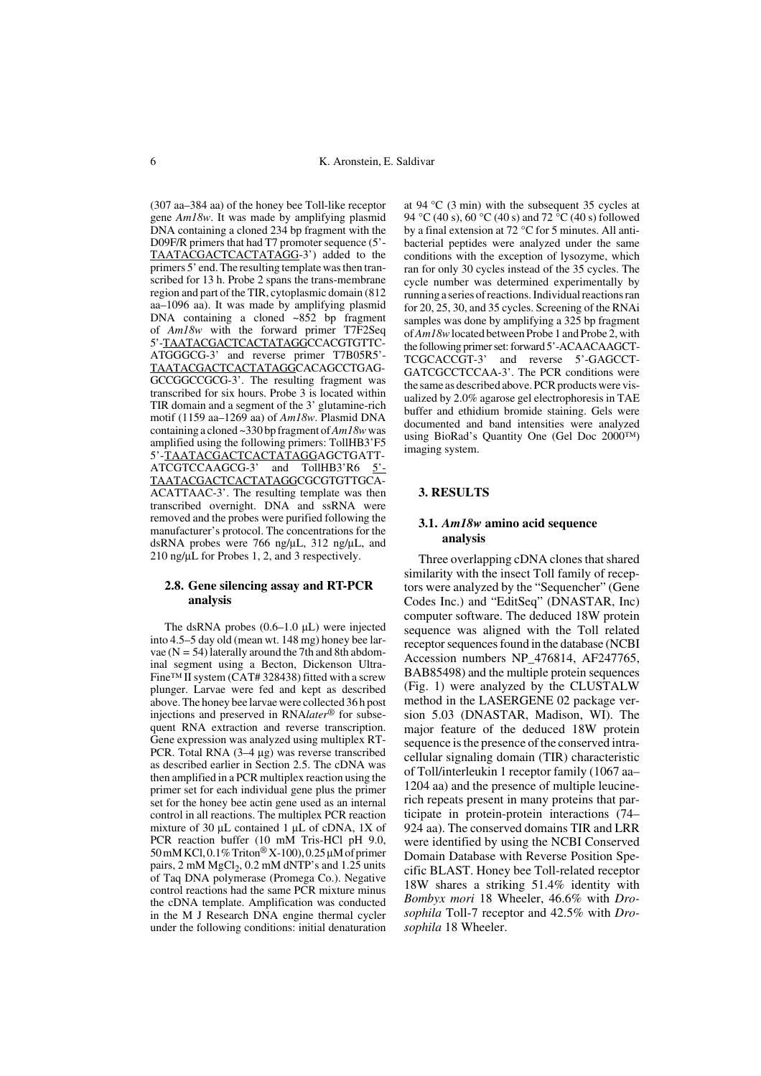(307 aa–384 aa) of the honey bee Toll-like receptor gene *Am18w*. It was made by amplifying plasmid DNA containing a cloned 234 bp fragment with the D09F/R primers that had T7 promoter sequence (5'- TAATACGACTCACTATAGG-3') added to the primers 5' end. The resulting template was then transcribed for 13 h. Probe 2 spans the trans-membrane region and part of the TIR, cytoplasmic domain (812 aa–1096 aa). It was made by amplifying plasmid DNA containing a cloned ~852 bp fragment of *Am18w* with the forward primer T7F2Seq 5'-TAATACGACTCACTATAGGCCACGTGTTC-ATGGGCG-3' and reverse primer T7B05R5'- TAATACGACTCACTATAGGCACAGCCTGAG-GCCGGCCGCG-3'. The resulting fragment was transcribed for six hours. Probe 3 is located within TIR domain and a segment of the 3' glutamine-rich motif (1159 aa–1269 aa) of *Am18w*. Plasmid DNA containing a cloned ~330 bp fragment of *Am18w* was amplified using the following primers: TollHB3'F5 5'-TAATACGACTCACTATAGGAGCTGATT-ATCGTCCAAGCG-3' and TollHB3'R6 5'-TAATACGACTCACTATAGGCGCGTGTTGCA-ACATTAAC-3'. The resulting template was then transcribed overnight. DNA and ssRNA were removed and the probes were purified following the manufacturer's protocol. The concentrations for the dsRNA probes were 766 ng/µL, 312 ng/µL, and 210 ng/ $\mu$ L for Probes 1, 2, and 3 respectively.

#### **2.8. Gene silencing assay and RT-PCR analysis**

The dsRNA probes  $(0.6-1.0 \mu L)$  were injected into 4.5–5 day old (mean wt. 148 mg) honey bee larvae  $(N = 54)$  laterally around the 7th and 8th abdominal segment using a Becton, Dickenson Ultra-Fine™ II system (CAT# 328438) fitted with a screw plunger. Larvae were fed and kept as described above. The honey bee larvae were collected 36 h post injections and preserved in RNA*later*® for subsequent RNA extraction and reverse transcription. Gene expression was analyzed using multiplex RT-PCR. Total RNA (3–4 µg) was reverse transcribed as described earlier in Section 2.5. The cDNA was then amplified in a PCR multiplex reaction using the primer set for each individual gene plus the primer set for the honey bee actin gene used as an internal control in all reactions. The multiplex PCR reaction mixture of 30  $\mu$ L contained 1  $\mu$ L of cDNA, 1X of PCR reaction buffer (10 mM Tris-HCl pH 9.0, 50 mM KCl, 0.1% Triton® X-100), 0.25 µM of primer pairs, 2 mM  $MgCl<sub>2</sub>$ , 0.2 mM dNTP's and 1.25 units of Taq DNA polymerase (Promega Co.). Negative control reactions had the same PCR mixture minus the cDNA template. Amplification was conducted in the M J Research DNA engine thermal cycler under the following conditions: initial denaturation at 94  $\degree$ C (3 min) with the subsequent 35 cycles at 94 °C (40 s), 60 °C (40 s) and 72 °C (40 s) followed by a final extension at 72 °C for 5 minutes. All antibacterial peptides were analyzed under the same conditions with the exception of lysozyme, which ran for only 30 cycles instead of the 35 cycles. The cycle number was determined experimentally by running a series of reactions. Individual reactions ran for 20, 25, 30, and 35 cycles. Screening of the RNAi samples was done by amplifying a 325 bp fragment of *Am18w* located between Probe 1 and Probe 2, with the following primer set: forward 5'-ACAACAAGCT-TCGCACCGT-3' and reverse 5'-GAGCCT-GATCGCCTCCAA-3'. The PCR conditions were the same as described above. PCR products were visualized by 2.0% agarose gel electrophoresis in TAE buffer and ethidium bromide staining. Gels were documented and band intensities were analyzed using BioRad's Quantity One (Gel Doc 2000™) imaging system.

## **3. RESULTS**

#### **3.1.** *Am18w* **amino acid sequence analysis**

Three overlapping cDNA clones that shared similarity with the insect Toll family of receptors were analyzed by the "Sequencher" (Gene Codes Inc.) and "EditSeq" (DNASTAR, Inc) computer software. The deduced 18W protein sequence was aligned with the Toll related receptor sequences found in the database (NCBI Accession numbers NP\_476814, AF247765, BAB85498) and the multiple protein sequences (Fig. 1) were analyzed by the CLUSTALW method in the LASERGENE 02 package version 5.03 (DNASTAR, Madison, WI). The major feature of the deduced 18W protein sequence is the presence of the conserved intracellular signaling domain (TIR) characteristic of Toll/interleukin 1 receptor family (1067 aa– 1204 aa) and the presence of multiple leucinerich repeats present in many proteins that participate in protein-protein interactions (74– 924 aa). The conserved domains TIR and LRR were identified by using the NCBI Conserved Domain Database with Reverse Position Specific BLAST. Honey bee Toll-related receptor 18W shares a striking 51.4% identity with *Bombyx mori* 18 Wheeler, 46.6% with *Drosophila* Toll-7 receptor and 42.5% with *Drosophila* 18 Wheeler.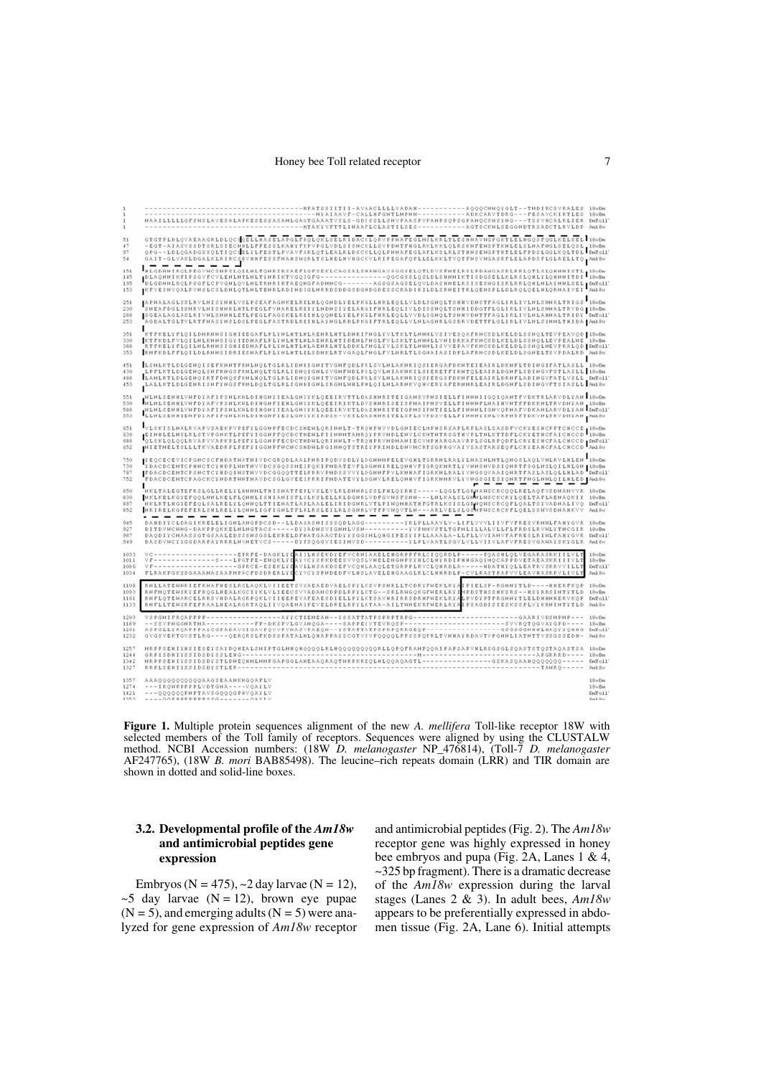#### Honey bee Toll related receptor 7

HAAILLLLLGFSWSLAVESALAPKESESSASAHLGAGTGAAATVSLS-GOVSSLLSWVPAASPVPANPSQPSGPANQCSWSING---TESSVKCALRLIER<br>HAAILLLLLGFSWSLAVESALAPKESESSASAHLGAGTGAAATVSLS-GOVSSLLSWVPAASPVPANPSQPSGPANQCSWSING---TESSVKCALRLIER  $CmTol1$ SELAPGLPROLOKLSELRI DACKLORVPPHAFEGIMSLKRLTLESKH  $\overline{\text{c}}$   $\overline{\text{c}}$   $\overline{\text{c}}$   $\overline{\text{c}}$   $\overline{\text{c}}$   $\overline{\text{c}}$   $\overline{\text{c}}$   $\overline{\text{c}}$   $\overline{\text{c}}$   $\overline{\text{c}}$   $\overline{\text{c}}$   $\overline{\text{c}}$   $\overline{\text{c}}$   $\overline{\text{c}}$   $\overline{\text{c}}$   $\overline{\text{c}}$   $\overline{\text{c}}$   $\overline{\text{c}}$   $\overline{\text{c}}$   $\overline{\text{c}}$   $\frac{1}{2}$ 51<br>47<br>97<br>54 GTOTPLOLOVARARGRLDLOCS**(**DELLANASELARGLPROLOKLSELRIDACKTLORVPPHATEGLHSLKRLTLES HHAVHGPGKTLDLHSLGSPOGLKBLSELLING<br>- EGT-AIASVSSOTSRLSIECHKLLFFESSLKARYFKPVPGLVDLSISHCKLLSVPDHTFRGLRKLKKLOLRSKHPEWSPTKHLELSLHAFHGLSELQSL <sub>L</sub>iBWBm .<br>I ROLPEGVNCSNPSLOLLNLTONKI RSAEPLGPSEKLCAGSALSNANGAVSGGSELQTLDVSPNELRSLPDANGASKLRKLQTLSLQXNNI STL | 18×15m<br>LKPI PSGVPCVLENLNTLNLTINKI KTVGQIGPG----------AGEGSSAGSLQSLDLSHNNI KTISDGSELLKLRSLQNLVLQXNNI TDI | 18×15m<br>LQALPVN 151<br>145 195<br>153  $\blacksquare$ .<br>FALAGLSSLRVLNISYNNLVSLPSEAPAGHKELRELNLQGHDLYELPKGLLNRLEQLLVLDLSGHQLTSNNVDHSTPAGLIRLIVLHLSHNALTRIGS IN«MA<br>FALAGLSSLRYVNLSHHRLRTLPEGLPYHARELREITLHDHSITELPRGJFHRLEQLIVLDISSHQLTSHNIDDGTFLGLIRLIVLHLSHNALTRIGG IN«MA<br>FALAGLSYLR 251  $18$ 230<br>288<br>253  $1^8$ 351<br>330<br>388<br>353 LSHLKTLDLGENOISEFKHNTFRHLNOLTGLRLIDHRIGHITVGHFQDLFRLSVLHLAKHRIQSIERGAFDKHTEIEAIRLDKHFLTDIHGIFATLASLL l9vfm<br>LPFLKTLDLGENOISFFRHGSFKHLNOLTGLRLIDHQIGHLSVGHFHDLPSLQVLHIAKHKILSIERETFIRHTQLEAIRLDGHFLSDIHGVFSTLASLL l9vfm<br>LANLKTLD 451 488<br>453 -<br>HIMISEN HERRY AND THE RESIDENTIAL ORDER THE RESIDENCE OF THE RESIDENT OF THE RELEASE AND THE RESIDENCE OF THE<br>HIMISEN HERRY PRODUCED AND THE RESIDENCE OF THE RESIDENCE OF THE RELEASE AND THE RELEASE AND THE RELEASE AND L 551<br>530<br>588<br>553 HEINESEHKEVHPDYAPYPSHEKHEDINGHPIEKEGNYYKEGEETRIKTEDVSHHRISEISPHAIPHSVEELEIHHNPENÄIRVYDFPPDKKHEFRVDHYAN IN<br>HEINESEHKEVHPDYAPIPSHEKHEDINGHYTEALGHYYKEQEEEVKYTEOSIKHTITEIGPHSIPHYTEELEIHHNEIGHVQPNAPYDKANEARVDEYAN ID<br>ELHESEHKIEH VLSKISLNALRVAPVSARKFVFRETIGGNFFRCDCSHENLORINNLT-TRONFNVVDLGNIECLNFNSRSAFLKFLASLSASGFVCKTESKCFFTCKCCE (18×66)<br>|EINRLELNSLRLSTVPGNKTLFEFTIGGNFFRCDCTMENLFIINNMTAMROTFRVMDLENVLCKMTNTRSGTNVFLTNLKTTDFLCKTETKCFAICNCCD (18×666<br>|VL 651 630<br>688<br>652 -<br>| TEQCECEVICPGHCSCFHDATHATHIVDCGRQDLAALPHRIPQDVSDLYLDGHHHPELEVGHLTGRRHLRALYLHASHLHTLQHGSLAQLVHLRVLHLEH<br>| TDACDCEHTCPHHCTCYHDPLWHTHVVDCSGQSSHEIPQKIPHDATEVFLDGHHIRELQHKVFIGRQKHRTLYVHHSHVDSIQHRTFSGLHSLQILHLGH\_18x8m 750<br>730<br>787<br>752 ERACOCENTCPRICTCTNOELWITHYVDCSGQSSHEIPQKIPNDATEVTLOGHHIRELQHKYFIGRQHHATLTYHHSHVDSIQHRTFSGLHSLQLLRELGH<br>FDACOCENTCPRICTCTNOQINSTHYVDCGGQQTTELPRRYPHDSSYVTLOGHHIRFVLKHKAFIGRKHLERLTYHHSHVDSIQHRTFSGLHSLQLLRELGH<br>FDACOCENTCPRICTCT LRLON II aronn.<br>L  $\mathbf{I}^{\text{F}}$  $m18w$ FORCOCENTCPROCKCTHORTNHTHRVDCSOLOVEEIFRRIPHORTEVYLDOHVLRELQHKVIIORKHHKVLYVHOSOLESIQ<u>HKTFHOLHMLQILKLED</u><br>HKLKELKOTEPRSLOLLRELYLQHHLISHATHISHATEPLVSLEVLDOHVLRELQHKVIIORKHHKVLYVHOSOLESIQHKETHOLHMLQILKLED<br>HKLKELKOTEPRQLSHLRELYL  $580$ 800<br>830<br>887 DuToll<sup>-</sup> And By 945<br>927<br>987<br>949  $18\pi$ Da AGIKRELELIGHLAHGPDCSD--LLDASASHISSSQDLAGG----------YRLPLLAAVLV-LIPLVVVLIIVPVPRESVRMHLPANYGVR<br>G-DAKPPQKKELNLHGTACS------DYIADHSVIGHNLVSH-------------YVPMHVSTLTGPHLILLALVLLPLPRDSLRVHLYTHCGIR<br>ASSGTGSAALEDSSSMSGSLEKKELDFNATGAA  $18nRm$ <br>  $ImTo11$ <br>  $Im18n$ 1033 IILHSEKDYEE **Birth** 101 ΑΥ V C Y S P K D E E S V V Q S L V N E L E N G H F S Y N L C L N Y R D I P N N G A Q Y N Q C<br>Α V L L N S A K D S E P V C Q N L A A Q L E T G R P F R V C L Q N R D L A — — — — — N D A T<br>C Y V C Y S P N D E D F V L N S L A 18wBm<br>ImFo117<br>And 8w  $1034$ I LLATENNRI EFRNAFNES LRGLAQKLV I I EETS VSAEAE DVAELS PYLKS VPSNRLLTCORY PNEKLRY<br>I PMOTENSRY EPROGLNEALKGC I Y KLV LIEECS V VADANCDPDLRPYLKTG – SRLRNGQKGFNERLRY.<br>I PLOTENARCELRRS VNOALRGR POKLV I I EEPEVAFEAES DI ELL PYLK 18wDm<br>18wBm<br>DwToll? IFMOTENSRY EPROGLNEALKGC IY KLVLIEECS VVADAMCDPDLRPY LKTG – – SRLRNGOKGFNERLRY IMPDSTNSSNKSRS – – NSYRRS IMTYTLD<br>IFLOTENARCELRRS VNDALRGRPOKLVIIEEPEVAREAESSDIELLPYLKTSAVRRIRRSDRNFNEKLRYALP VDY PTFRGMNYTLELDNENNERVKOP<br>IFLLT 1133  $And 8n$ PGHIPROAPPPP------------------ATTCTEEMEAN--YSSATTATPSPRPTRPG-------------------------GAARIVDSMPNP---<br>FSVPNGGNRTMA------------PP-DKSPVLGVANOGA----SRPPEIVTEVROSP------------------------VVRQTOGVATGPD----<br>FGLLYRQAPPPAICGPADAVG 1261<br>1232 DuToll<sup>-</sup> .<br>PSENIYNSIESEYSAYDQNEALSHIPTGLHNQNQQQQLRLNQQQQQQQQQRLLQPQFRAMPQQAIPAPSAPVNLRSGSGLSQASTSTQSTAQASTSA 1251  $124$ DwToll<br>Aml 8w 1342<br>1327  $18w$ Dm<br> $18w$ Bm<br>DmTo $117$ <br>Am18w 1357 1421

**Figure 1.** Multiple protein sequences alignment of the new *A. mellifera* Toll-like receptor 18W with selected members of the Toll family of receptors. Sequences were aligned by using the CLUSTALW method. NCBI Accession numbers: (18W *D. melanogaster* NP\_476814), (Toll-7 *D. melanogaster* AF247765), (18W *B. mori* BAB85498). The leucine–rich repeats domain (LRR) and TIR domain are shown in dotted and solid-line boxes.

# **3.2. Developmental profile of the** *Am18w* **and antimicrobial peptides gene expression**

Embryos (N = 475),  $\sim$ 2 day larvae (N = 12),  $\sim$ 5 day larvae (N = 12), brown eye pupae  $(N = 5)$ , and emerging adults  $(N = 5)$  were analyzed for gene expression of *Am18w* receptor and antimicrobial peptides (Fig. 2). The *Am18w* receptor gene was highly expressed in honey bee embryos and pupa (Fig. 2A, Lanes 1 & 4, ~325 bp fragment). There is a dramatic decrease of the *Am18w* expression during the larval stages (Lanes 2 & 3). In adult bees, *Am18w* appears to be preferentially expressed in abdomen tissue (Fig. 2A, Lane 6). Initial attempts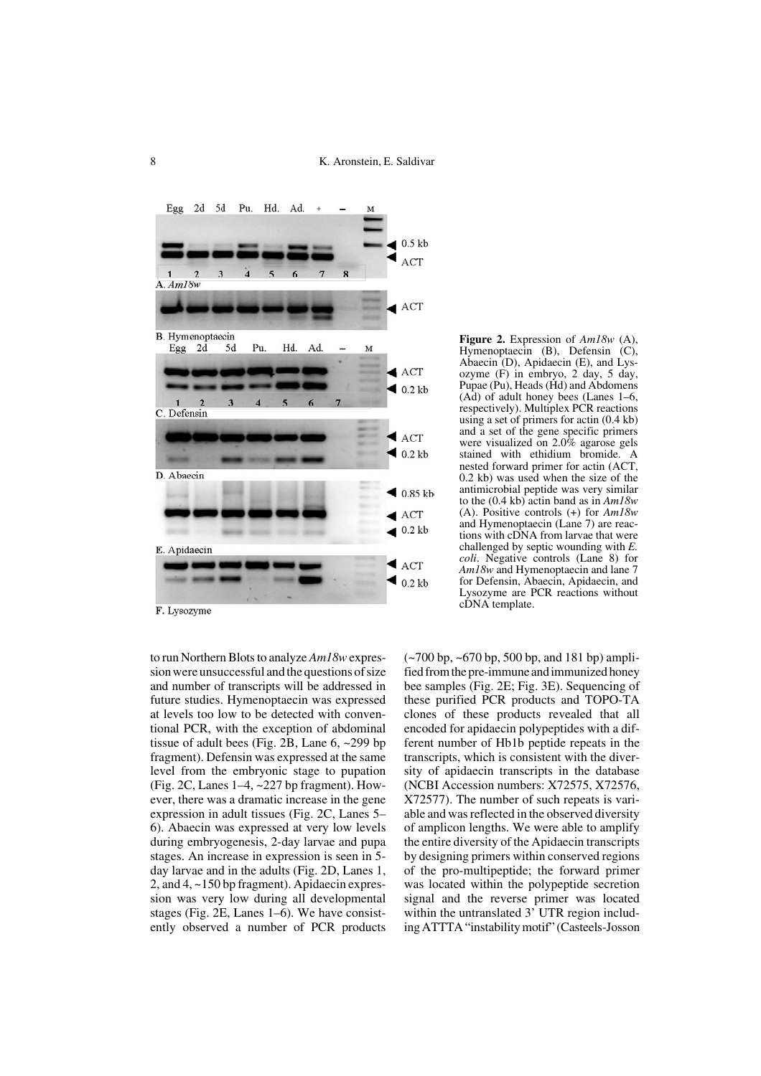

**Figure 2.** Expression of *Am18w* (A), Hymenoptaecin (B), Defensin (C), Abaecin (D), Apidaecin (E), and Lys $oz$ <sub>yme</sub> (F) in embryo, 2 day, 5 day, Pupae (Pu), Heads (Hd) and Abdomens (Ad) of adult honey bees (Lanes 1–6, respectively). Multiplex PCR reactions using a set of primers for actin (0.4 kb) and a set of the gene specific primers were visualized on 2.0% agarose gels stained with ethidium bromide. A nested forward primer for actin (ACT, 0.2 kb) was used when the size of the antimicrobial peptide was very similar to the (0.4 kb) actin band as in *Am18w* (A). Positive controls (+) for *Am18w* and Hymenoptaecin (Lane 7) are reactions with cDNA from larvae that were challenged by septic wounding with *E. coli*. Negative controls (Lane 8) for *Am18w* and Hymenoptaecin and lane 7 for Defensin, Abaecin, Apidaecin, and Lysozyme are PCR reactions without cDNA template.

F. Lysozyme

to run Northern Blots to analyze *Am18w* expression were unsuccessful and the questions of size and number of transcripts will be addressed in future studies. Hymenoptaecin was expressed at levels too low to be detected with conventional PCR, with the exception of abdominal tissue of adult bees (Fig. 2B, Lane 6, ~299 bp fragment). Defensin was expressed at the same level from the embryonic stage to pupation (Fig. 2C, Lanes 1–4, ~227 bp fragment). However, there was a dramatic increase in the gene expression in adult tissues (Fig. 2C, Lanes 5– 6). Abaecin was expressed at very low levels during embryogenesis, 2-day larvae and pupa stages. An increase in expression is seen in 5 day larvae and in the adults (Fig. 2D, Lanes 1, 2, and 4, ~150 bp fragment). Apidaecin expression was very low during all developmental stages (Fig. 2E, Lanes 1–6). We have consistently observed a number of PCR products  $(-700 \text{ bp}, -670 \text{ bp}, 500 \text{ bp}, \text{and } 181 \text{ bp})$  amplified from the pre-immune and immunized honey bee samples (Fig. 2E; Fig. 3E). Sequencing of these purified PCR products and TOPO-TA clones of these products revealed that all encoded for apidaecin polypeptides with a different number of Hb1b peptide repeats in the transcripts, which is consistent with the diversity of apidaecin transcripts in the database (NCBI Accession numbers: X72575, X72576, X72577). The number of such repeats is variable and was reflected in the observed diversity of amplicon lengths. We were able to amplify the entire diversity of the Apidaecin transcripts by designing primers within conserved regions of the pro-multipeptide; the forward primer was located within the polypeptide secretion signal and the reverse primer was located within the untranslated 3' UTR region including ATTTA "instability motif" (Casteels-Josson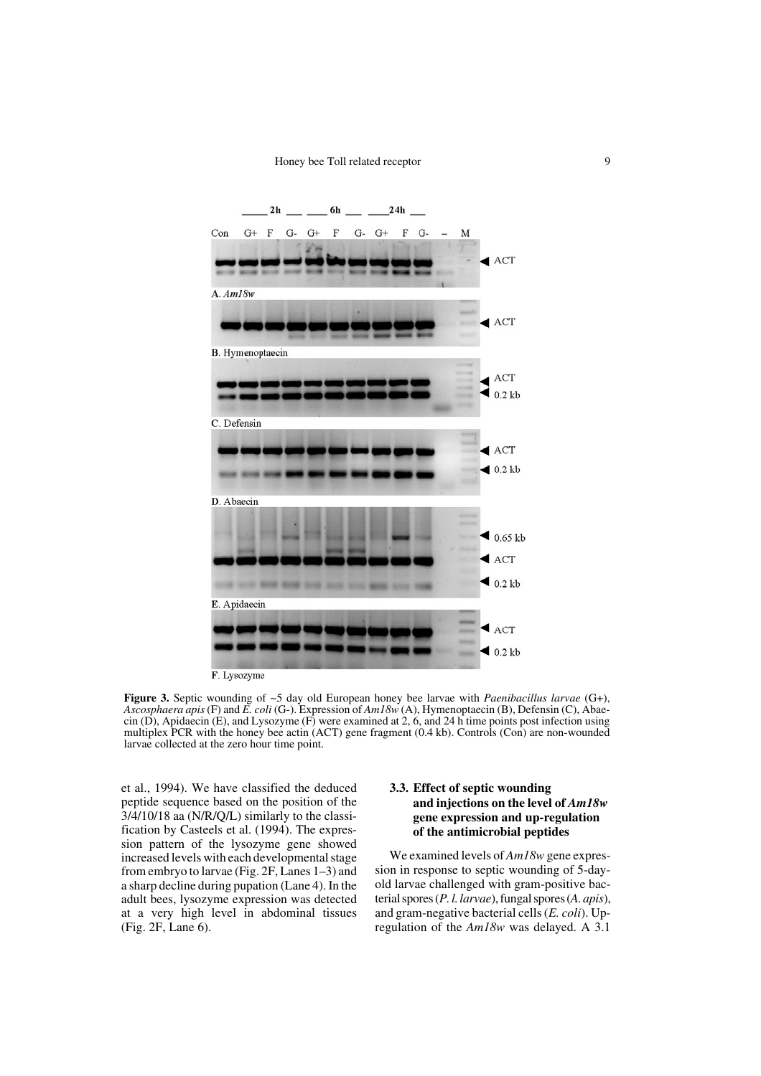

F. Lysozyme

**Figure 3.** Septic wounding of ~5 day old European honey bee larvae with *Paenibacillus larvae* (G+), *Ascosphaera apis* (F) and *E. coli* (G-). Expression of *Am18w* (A), Hymenoptaecin (B), Defensin (C), Abaecin (D), Apidaecin (E), and Lysozyme (F) were examined at 2, 6, and 24 h time points post infection using multiplex PCR with the honey bee actin (ACT) gene fragment (0.4 kb). Controls (Con) are non-wounded larvae collected at the zero hour time point.

et al., 1994). We have classified the deduced peptide sequence based on the position of the 3/4/10/18 aa (N/R/Q/L) similarly to the classification by Casteels et al. (1994). The expression pattern of the lysozyme gene showed increased levels with each developmental stage from embryo to larvae (Fig. 2F, Lanes 1–3) and a sharp decline during pupation (Lane 4). In the adult bees, lysozyme expression was detected at a very high level in abdominal tissues (Fig. 2F, Lane 6).

# **3.3. Effect of septic wounding and injections on the level of** *Am18w* **gene expression and up-regulation of the antimicrobial peptides**

We examined levels of *Am18w* gene expression in response to septic wounding of 5-dayold larvae challenged with gram-positive bacterial spores (*P. l. larvae*), fungal spores (*A. apis*), and gram-negative bacterial cells (*E. coli*). Upregulation of the *Am18w* was delayed. A 3.1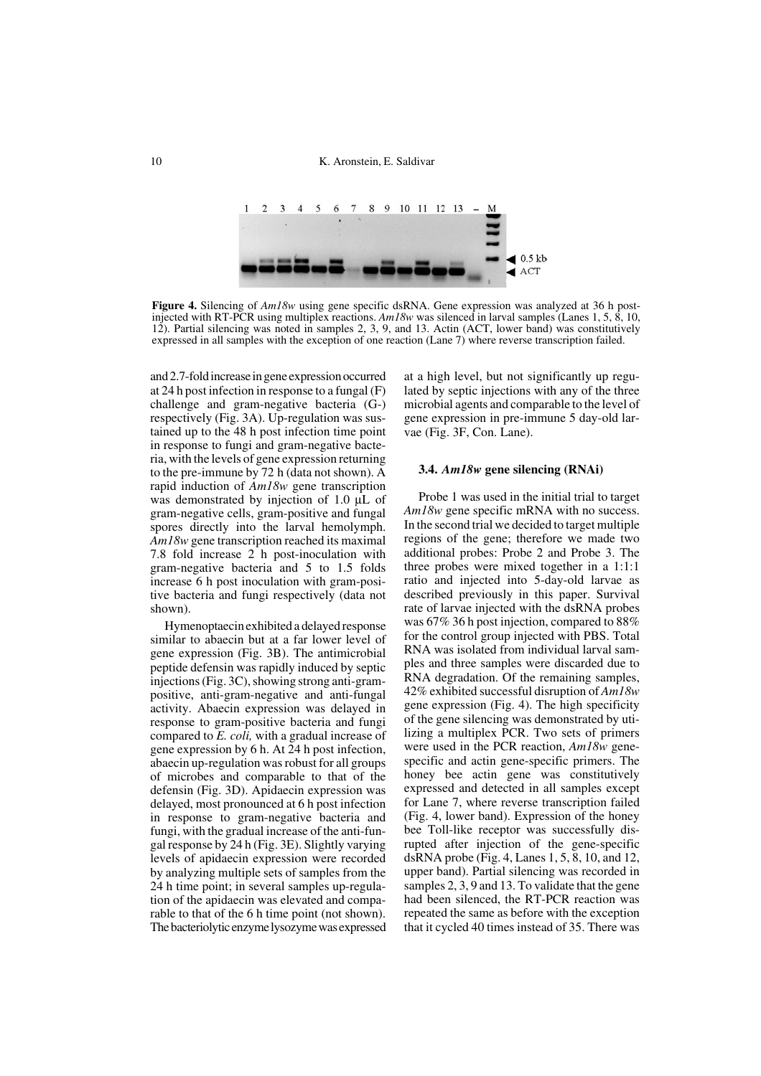10 K. Aronstein, E. Saldivar



Figure 4. Silencing of  $Am18w$  using gene specific dsRNA. Gene expression was analyzed at 36 h postinjected with RT-PCR using multiplex reactions. *Am18w* was silenced in larval samples (Lanes 1, 5, 8, 10, 12). Partial silencing was noted in samples 2, 3, 9, and 13. Actin (ACT, lower band) was constitutively expressed in all samples with the exception of one reaction (Lane 7) where reverse transcription failed.

and 2.7-fold increase in gene expression occurred at 24 h post infection in response to a fungal (F) challenge and gram-negative bacteria (G-) respectively (Fig. 3A). Up-regulation was sustained up to the 48 h post infection time point in response to fungi and gram-negative bacteria, with the levels of gene expression returning to the pre-immune by 72 h (data not shown). A rapid induction of *Am18w* gene transcription was demonstrated by injection of 1.0  $\mu$ L of gram-negative cells, gram-positive and fungal spores directly into the larval hemolymph. *Am18w* gene transcription reached its maximal 7.8 fold increase 2 h post-inoculation with gram-negative bacteria and 5 to 1.5 folds increase 6 h post inoculation with gram-positive bacteria and fungi respectively (data not shown).

Hymenoptaecin exhibited a delayed response similar to abaecin but at a far lower level of gene expression (Fig. 3B). The antimicrobial peptide defensin was rapidly induced by septic injections (Fig. 3C), showing strong anti-grampositive, anti-gram-negative and anti-fungal activity. Abaecin expression was delayed in response to gram-positive bacteria and fungi compared to *E. coli,* with a gradual increase of gene expression by 6 h. At 24 h post infection, abaecin up-regulation was robust for all groups of microbes and comparable to that of the defensin (Fig. 3D). Apidaecin expression was delayed, most pronounced at 6 h post infection in response to gram-negative bacteria and fungi, with the gradual increase of the anti-fungal response by 24 h (Fig. 3E). Slightly varying levels of apidaecin expression were recorded by analyzing multiple sets of samples from the 24 h time point; in several samples up-regulation of the apidaecin was elevated and comparable to that of the 6 h time point (not shown). The bacteriolytic enzyme lysozyme was expressed at a high level, but not significantly up regulated by septic injections with any of the three microbial agents and comparable to the level of gene expression in pre-immune 5 day-old larvae (Fig. 3F, Con. Lane).

#### **3.4.** *Am18w* **gene silencing (RNAi)**

Probe 1 was used in the initial trial to target *Am18w* gene specific mRNA with no success. In the second trial we decided to target multiple regions of the gene; therefore we made two additional probes: Probe 2 and Probe 3. The three probes were mixed together in a 1:1:1 ratio and injected into 5-day-old larvae as described previously in this paper. Survival rate of larvae injected with the dsRNA probes was 67% 36 h post injection, compared to 88% for the control group injected with PBS. Total RNA was isolated from individual larval samples and three samples were discarded due to RNA degradation. Of the remaining samples, 42% exhibited successful disruption of *Am18w* gene expression (Fig. 4). The high specificity of the gene silencing was demonstrated by utilizing a multiplex PCR. Two sets of primers were used in the PCR reaction, *Am18w* genespecific and actin gene-specific primers. The honey bee actin gene was constitutively expressed and detected in all samples except for Lane 7, where reverse transcription failed (Fig. 4, lower band). Expression of the honey bee Toll-like receptor was successfully disrupted after injection of the gene-specific dsRNA probe (Fig. 4, Lanes 1, 5, 8, 10, and 12, upper band). Partial silencing was recorded in samples 2, 3, 9 and 13. To validate that the gene had been silenced, the RT-PCR reaction was repeated the same as before with the exception that it cycled 40 times instead of 35. There was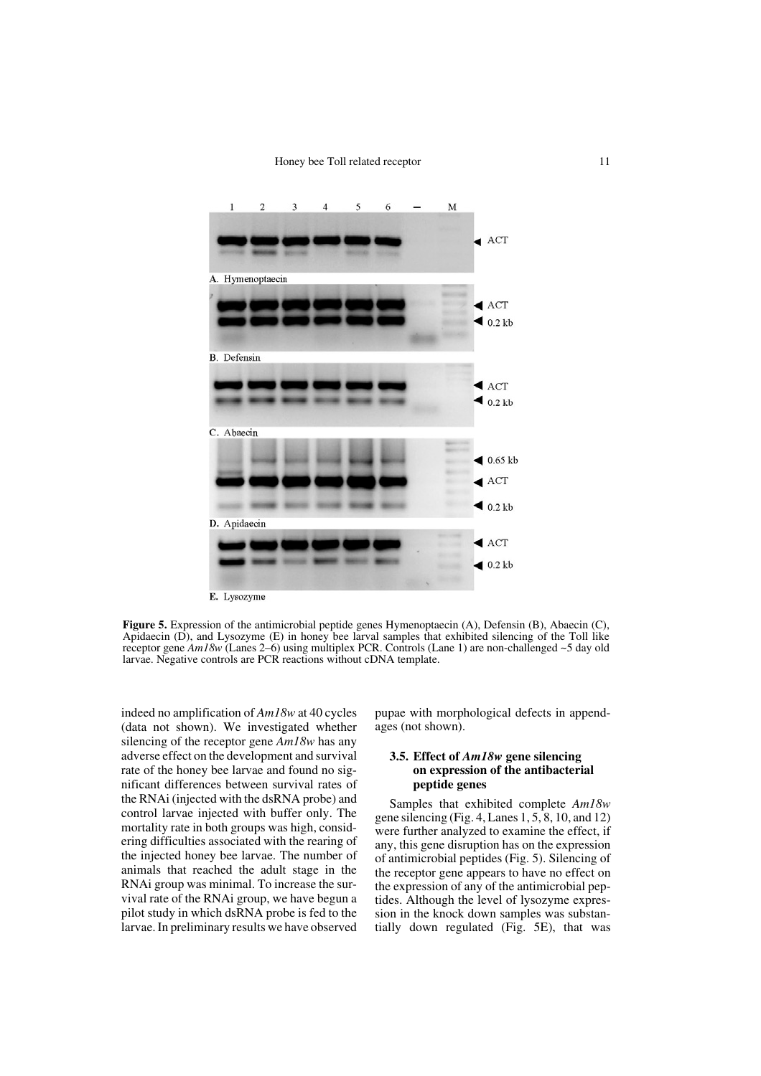#### Honey bee Toll related receptor 11



**Figure 5.** Expression of the antimicrobial peptide genes Hymenoptaecin (A), Defensin (B), Abaecin (C), Apidaecin (D), and Lysozyme (E) in honey bee larval samples that exhibited silencing of the Toll like receptor gene *Am18w* (Lanes 2–6) using multiplex PCR. Controls (Lane 1) are non-challenged ~5 day old larvae. Negative controls are PCR reactions without cDNA template.

indeed no amplification of *Am18w* at 40 cycles (data not shown). We investigated whether silencing of the receptor gene *Am18w* has any adverse effect on the development and survival rate of the honey bee larvae and found no significant differences between survival rates of the RNAi (injected with the dsRNA probe) and control larvae injected with buffer only. The mortality rate in both groups was high, considering difficulties associated with the rearing of the injected honey bee larvae. The number of animals that reached the adult stage in the RNAi group was minimal. To increase the survival rate of the RNAi group, we have begun a pilot study in which dsRNA probe is fed to the larvae. In preliminary results we have observed pupae with morphological defects in appendages (not shown).

# **3.5. Effect of** *Am18w* **gene silencing on expression of the antibacterial peptide genes**

Samples that exhibited complete *Am18w* gene silencing (Fig. 4, Lanes  $1, 5, 8, 10,$  and  $12$ ) were further analyzed to examine the effect, if any, this gene disruption has on the expression of antimicrobial peptides (Fig. 5). Silencing of the receptor gene appears to have no effect on the expression of any of the antimicrobial peptides. Although the level of lysozyme expression in the knock down samples was substantially down regulated (Fig. 5E), that was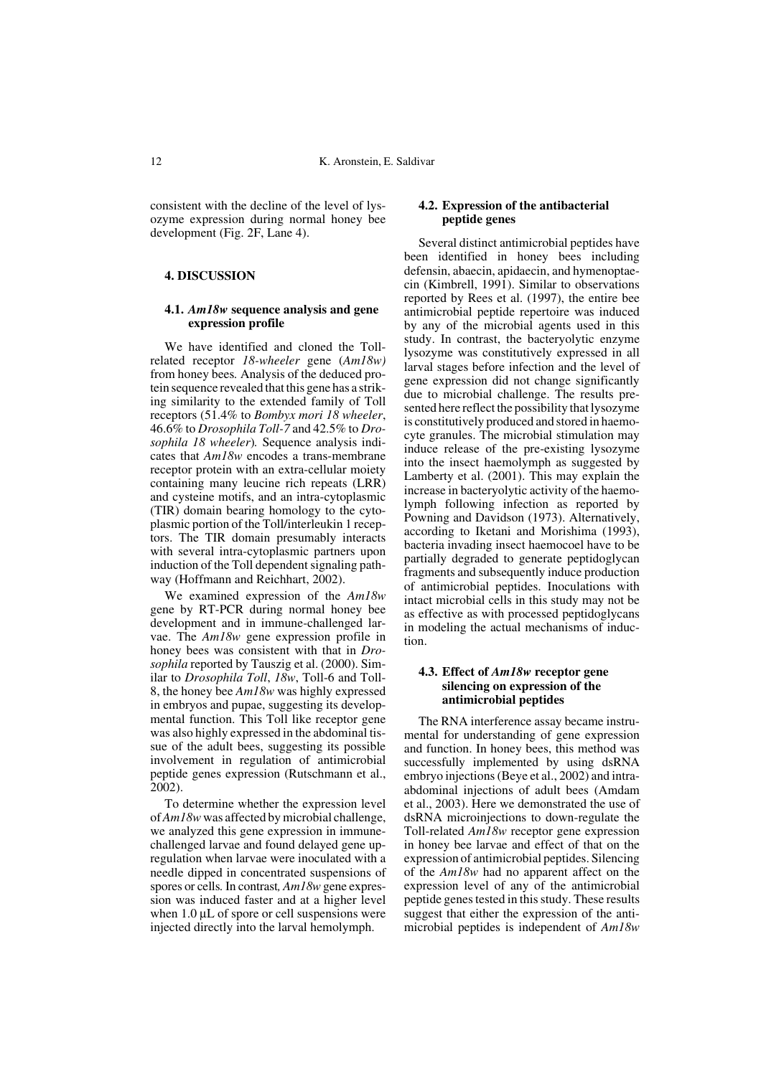consistent with the decline of the level of lysozyme expression during normal honey bee development (Fig. 2F, Lane 4).

## **4. DISCUSSION**

## **4.1.** *Am18w* **sequence analysis and gene expression profile**

We have identified and cloned the Tollrelated receptor *18-wheeler* gene (*Am18w)* from honey bees*.* Analysis of the deduced protein sequence revealed that this gene has a striking similarity to the extended family of Toll receptors (51.4% to *Bombyx mori 18 wheeler*, 46.6% to *Drosophila Toll-7* and 42.5% to *Drosophila 18 wheeler*)*.* Sequence analysis indicates that *Am18w* encodes a trans-membrane receptor protein with an extra-cellular moiety containing many leucine rich repeats (LRR) and cysteine motifs, and an intra-cytoplasmic (TIR) domain bearing homology to the cytoplasmic portion of the Toll/interleukin 1 receptors. The TIR domain presumably interacts with several intra-cytoplasmic partners upon induction of the Toll dependent signaling pathway (Hoffmann and Reichhart, 2002).

We examined expression of the *Am18w* gene by RT-PCR during normal honey bee development and in immune-challenged larvae. The *Am18w* gene expression profile in honey bees was consistent with that in *Drosophila* reported by Tauszig et al. (2000). Similar to *Drosophila Toll*, *18w*, Toll-6 and Toll-8, the honey bee *Am18w* was highly expressed in embryos and pupae, suggesting its developmental function. This Toll like receptor gene was also highly expressed in the abdominal tissue of the adult bees, suggesting its possible involvement in regulation of antimicrobial peptide genes expression (Rutschmann et al., 2002).

To determine whether the expression level of *Am18w* was affected by microbial challenge, we analyzed this gene expression in immunechallenged larvae and found delayed gene upregulation when larvae were inoculated with a needle dipped in concentrated suspensions of spores or cells*.* In contrast*, Am18w* gene expression was induced faster and at a higher level when  $1.0 \mu L$  of spore or cell suspensions were injected directly into the larval hemolymph.

## **4.2. Expression of the antibacterial peptide genes**

Several distinct antimicrobial peptides have been identified in honey bees including defensin, abaecin, apidaecin, and hymenoptaecin (Kimbrell, 1991). Similar to observations reported by Rees et al. (1997), the entire bee antimicrobial peptide repertoire was induced by any of the microbial agents used in this study. In contrast, the bacteryolytic enzyme lysozyme was constitutively expressed in all larval stages before infection and the level of gene expression did not change significantly due to microbial challenge. The results presented here reflect the possibility that lysozyme is constitutively produced and stored in haemocyte granules. The microbial stimulation may induce release of the pre-existing lysozyme into the insect haemolymph as suggested by Lamberty et al. (2001). This may explain the increase in bacteryolytic activity of the haemolymph following infection as reported by Powning and Davidson (1973). Alternatively, according to Iketani and Morishima (1993), bacteria invading insect haemocoel have to be partially degraded to generate peptidoglycan fragments and subsequently induce production of antimicrobial peptides. Inoculations with intact microbial cells in this study may not be as effective as with processed peptidoglycans in modeling the actual mechanisms of induction.

## **4.3. Effect of** *Am18w* **receptor gene silencing on expression of the antimicrobial peptides**

The RNA interference assay became instrumental for understanding of gene expression and function. In honey bees, this method was successfully implemented by using dsRNA embryo injections (Beye et al., 2002) and intraabdominal injections of adult bees (Amdam et al., 2003). Here we demonstrated the use of dsRNA microinjections to down-regulate the Toll-related *Am18w* receptor gene expression in honey bee larvae and effect of that on the expression of antimicrobial peptides. Silencing of the *Am18w* had no apparent affect on the expression level of any of the antimicrobial peptide genes tested in this study. These results suggest that either the expression of the antimicrobial peptides is independent of *Am18w*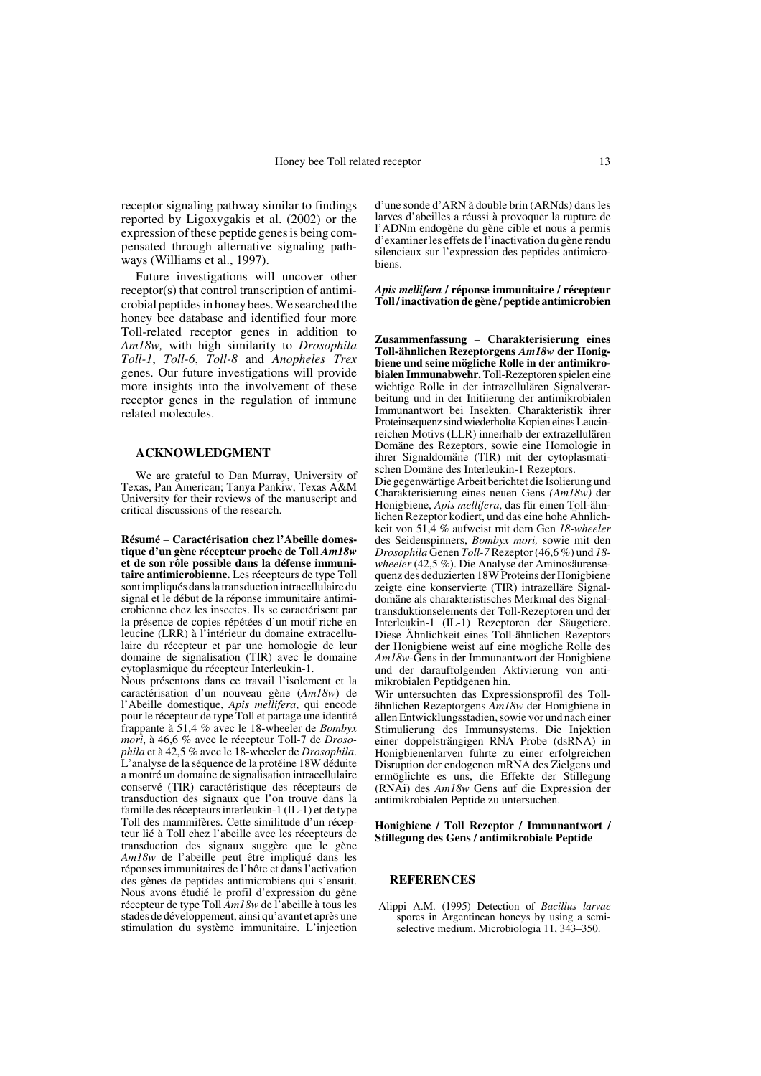receptor signaling pathway similar to findings reported by Ligoxygakis et al. (2002) or the expression of these peptide genes is being compensated through alternative signaling pathways (Williams et al., 1997).

Future investigations will uncover other receptor(s) that control transcription of antimicrobial peptides in honey bees. We searched the honey bee database and identified four more Toll-related receptor genes in addition to *Am18w,* with high similarity to *Drosophila Toll-1*, *Toll-6*, *Toll-8* and *Anopheles Trex* genes. Our future investigations will provide more insights into the involvement of these receptor genes in the regulation of immune related molecules.

# **ACKNOWLEDGMENT**

We are grateful to Dan Murray, University of Texas, Pan American; Tanya Pankiw, Texas A&M University for their reviews of the manuscript and critical discussions of the research.

**Résumé** – **Caractérisation chez l'Abeille domestique d'un gène récepteur proche de Toll** *Am18w* **et de son rôle possible dans la défense immunitaire antimicrobienne.** Les récepteurs de type Toll sont impliqués dans la transduction intracellulaire du signal et le début de la réponse immunitaire antimicrobienne chez les insectes. Ils se caractérisent par la présence de copies répétées d'un motif riche en leucine (LRR) à l'intérieur du domaine extracellulaire du récepteur et par une homologie de leur domaine de signalisation (TIR) avec le domaine cytoplasmique du récepteur Interleukin-1.

Nous présentons dans ce travail l'isolement et la caractérisation d'un nouveau gène (*Am18w*) de l'Abeille domestique, *Apis mellifera*, qui encode pour le récepteur de type Toll et partage une identité frappante à 51,4 % avec le 18-wheeler de *Bombyx mori*, à 46,6 % avec le récepteur Toll-7 de *Drosophila* et à 42,5 % avec le 18-wheeler de *Drosophila*. L'analyse de la séquence de la protéine 18W déduite a montré un domaine de signalisation intracellulaire conservé (TIR) caractéristique des récepteurs de transduction des signaux que l'on trouve dans la famille des récepteurs interleukin-1 (IL-1) et de type Toll des mammifères. Cette similitude d'un récepteur lié à Toll chez l'abeille avec les récepteurs de transduction des signaux suggère que le gène *Am18w* de l'abeille peut être impliqué dans les réponses immunitaires de l'hôte et dans l'activation des gènes de peptides antimicrobiens qui s'ensuit. Nous avons étudié le profil d'expression du gène récepteur de type Toll *Am18w* de l'abeille à tous les stades de développement, ainsi qu'avant et après une stimulation du système immunitaire. L'injection d'une sonde d'ARN à double brin (ARNds) dans les larves d'abeilles a réussi à provoquer la rupture de l'ADNm endogène du gène cible et nous a permis d'examiner les effets de l'inactivation du gène rendu silencieux sur l'expression des peptides antimicrobiens.

*Apis mellifera* **/ réponse immunitaire / récepteur Toll / inactivation de gène / peptide antimicrobien**

**Zusammenfassung** – **Charakterisierung eines Toll-ähnlichen Rezeptorgens** *Am18w* **der Honigbiene und seine mögliche Rolle in der antimikrobialen Immunabwehr.** Toll-Rezeptoren spielen eine wichtige Rolle in der intrazellulären Signalverarbeitung und in der Initiierung der antimikrobialen Immunantwort bei Insekten. Charakteristik ihrer Proteinsequenz sind wiederholte Kopien eines Leucinreichen Motivs (LLR) innerhalb der extrazellulären Domäne des Rezeptors, sowie eine Homologie in ihrer Signaldomäne (TIR) mit der cytoplasmatischen Domäne des Interleukin-1 Rezeptors.

Die gegenwärtige Arbeit berichtet die Isolierung und Charakterisierung eines neuen Gens *(Am18w)* der Honigbiene, *Apis mellifera*, das für einen Toll-ähnlichen Rezeptor kodiert, und das eine hohe Ähnlichkeit von 51,4 % aufweist mit dem Gen *18-wheeler* des Seidenspinners, *Bombyx mori,* sowie mit den *Drosophila* Genen *Toll-7* Rezeptor (46,6 %) und *18 wheeler* (42,5 %). Die Analyse der Aminosäurensequenz des deduzierten 18W Proteins der Honigbiene zeigte eine konservierte (TIR) intrazelläre Signaldomäne als charakteristisches Merkmal des Signaltransduktionselements der Toll-Rezeptoren und der Interleukin-1 (IL-1) Rezeptoren der Säugetiere. Diese Ähnlichkeit eines Toll-ähnlichen Rezeptors der Honigbiene weist auf eine mögliche Rolle des *Am18w*-Gens in der Immunantwort der Honigbiene und der darauffolgenden Aktivierung von antimikrobialen Peptidgenen hin.

Wir untersuchten das Expressionsprofil des Tollähnlichen Rezeptorgens *Am18w* der Honigbiene in allen Entwicklungsstadien, sowie vor und nach einer Stimulierung des Immunsystems. Die Injektion einer doppelsträngigen RNA Probe (dsRNA) in Honigbienenlarven führte zu einer erfolgreichen Disruption der endogenen mRNA des Zielgens und ermöglichte es uns, die Effekte der Stillegung (RNAi) des *Am18w* Gens auf die Expression der antimikrobialen Peptide zu untersuchen.

#### **Honigbiene / Toll Rezeptor / Immunantwort / Stillegung des Gens / antimikrobiale Peptide**

#### **REFERENCES**

Alippi A.M. (1995) Detection of *Bacillus larvae* spores in Argentinean honeys by using a semiselective medium, Microbiologia 11, 343–350.